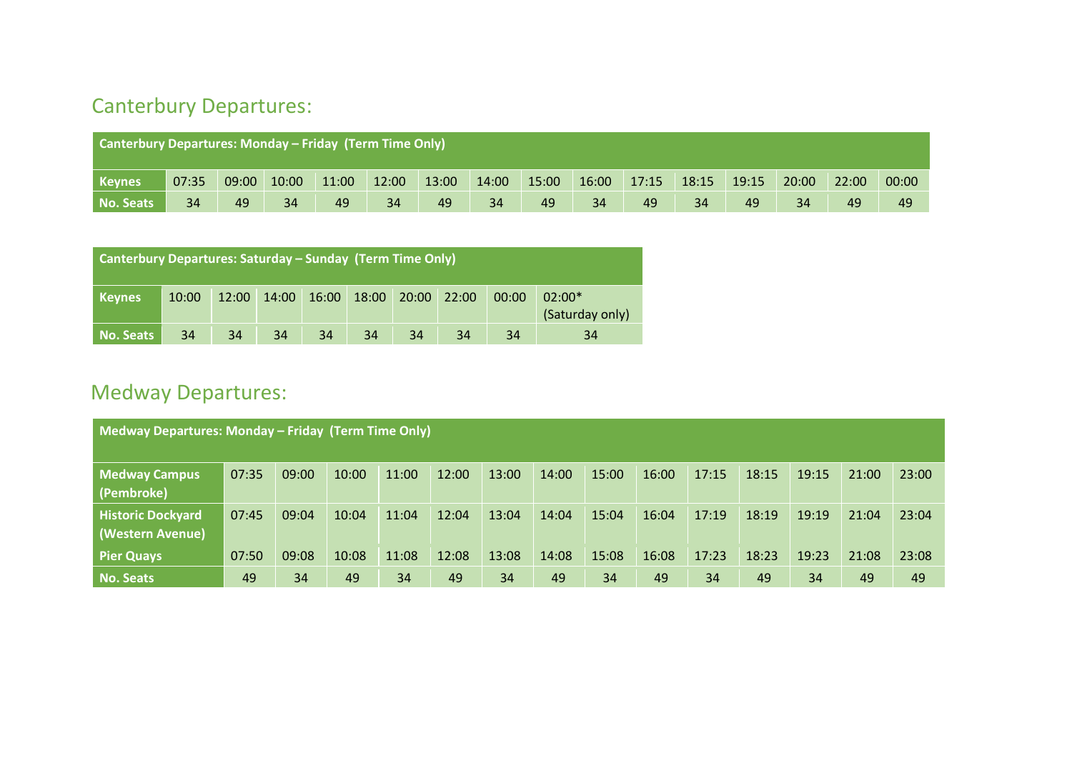## Canterbury Departures:

| <b>Canterbury Departures: Monday – Friday (Term Time Only)</b> |       |       |       |       |       |       |       |       |       |       |       |       |       |       |       |
|----------------------------------------------------------------|-------|-------|-------|-------|-------|-------|-------|-------|-------|-------|-------|-------|-------|-------|-------|
| <b>Keynes</b>                                                  | 07:35 | 09:00 | 10:00 | 11:00 | 12:00 | 13:00 | 14:00 | 15:00 | 16:00 | 17:15 | 18:15 | 19:15 | 20:00 | 22:00 | 00:00 |
| No. Seats                                                      | 34    | 49    | 34    | 49    | 34    | 49    | 34    | 49    | 34    | 49    | 34    | 49    | 34    | 49    | 49    |

| <b>Canterbury Departures: Saturday – Sunday (Term Time Only)</b> |       |    |    |    |                                     |    |    |       |                             |  |  |
|------------------------------------------------------------------|-------|----|----|----|-------------------------------------|----|----|-------|-----------------------------|--|--|
| <b>Keynes</b>                                                    | 10:00 |    |    |    | 12:00 14:00 16:00 18:00 20:00 22:00 |    |    | 00:00 | $02:00*$<br>(Saturday only) |  |  |
| No. Seats                                                        | 34    | 34 | 34 | 34 | 34                                  | 34 | 34 | 34    | 34                          |  |  |

## Medway Departures:

| Medway Departures: Monday – Friday (Term Time Only) |       |       |       |       |       |       |       |       |       |       |       |       |       |       |
|-----------------------------------------------------|-------|-------|-------|-------|-------|-------|-------|-------|-------|-------|-------|-------|-------|-------|
| <b>Medway Campus</b><br>(Pembroke)                  | 07:35 | 09:00 | 10:00 | 11:00 | 12:00 | 13:00 | 14:00 | 15:00 | 16:00 | 17:15 | 18:15 | 19:15 | 21:00 | 23:00 |
| <b>Historic Dockyard</b><br>(Western Avenue)        | 07:45 | 09:04 | 10:04 | 11:04 | 12:04 | 13:04 | 14:04 | 15:04 | 16:04 | 17:19 | 18:19 | 19:19 | 21:04 | 23:04 |
| <b>Pier Quays</b>                                   | 07:50 | 09:08 | 10:08 | 11:08 | 12:08 | 13:08 | 14:08 | 15:08 | 16:08 | 17:23 | 18:23 | 19:23 | 21:08 | 23:08 |
| No. Seats                                           | 49    | 34    | 49    | 34    | 49    | 34    | 49    | 34    | 49    | 34    | 49    | 34    | 49    | 49    |